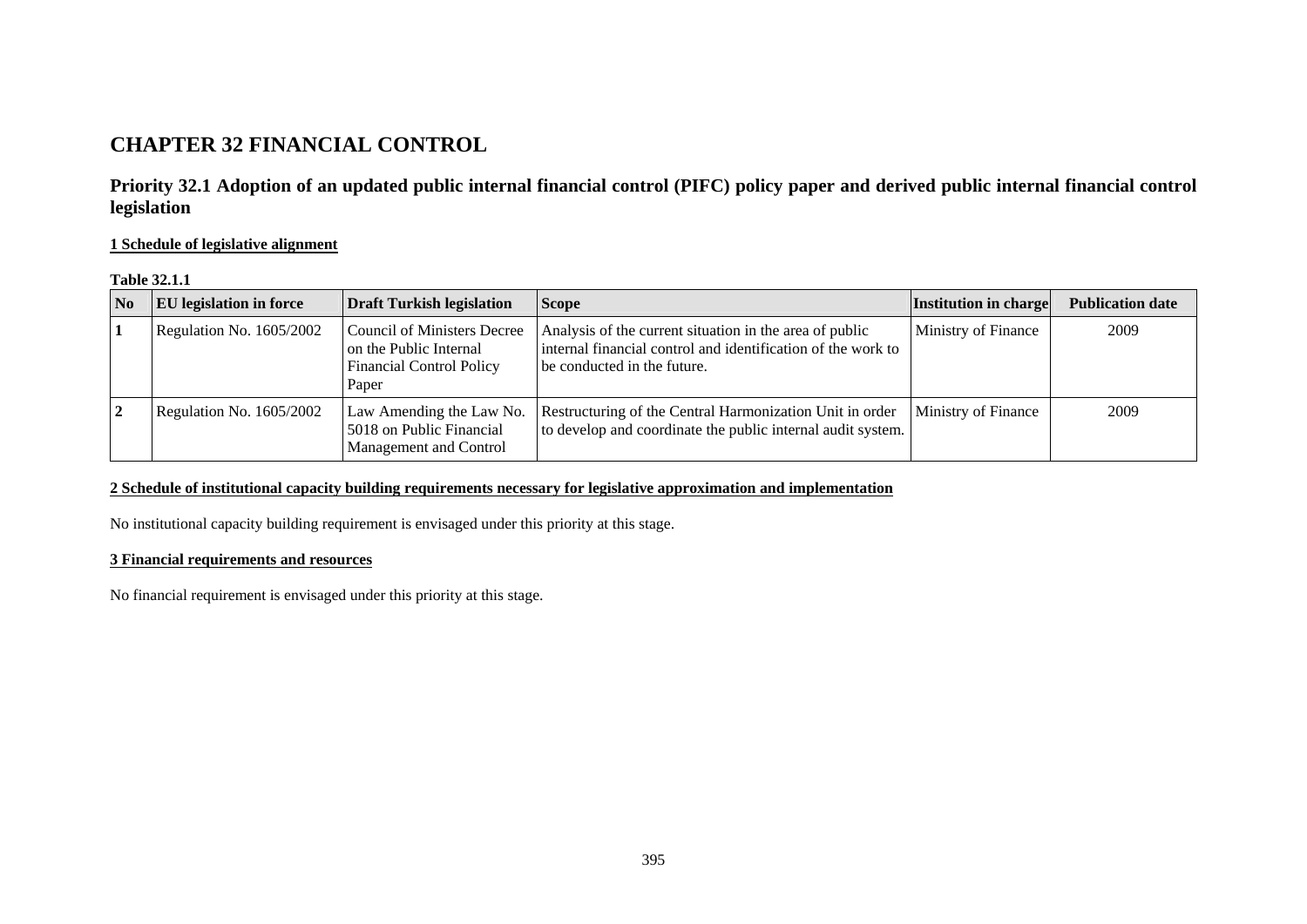# **CHAPTER 32 FINANCIAL CONTROL**

**Priority 32.1 Adoption of an updated public internal financial control (PIFC) policy paper and derived public internal financial control legislation** 

**1 Schedule of legislative alignment**

| <b>Table 32.1.1</b> |  |
|---------------------|--|
|---------------------|--|

| $\overline{\mathbf{N}}$ | <b>EU</b> legislation in force | <b>Draft Turkish legislation</b>                                                                         | <b>Scope</b>                                                                                                                                           | Institution in charge | <b>Publication date</b> |
|-------------------------|--------------------------------|----------------------------------------------------------------------------------------------------------|--------------------------------------------------------------------------------------------------------------------------------------------------------|-----------------------|-------------------------|
|                         | Regulation No. 1605/2002       | <b>Council of Ministers Decree</b><br>on the Public Internal<br><b>Financial Control Policy</b><br>Paper | Analysis of the current situation in the area of public<br>internal financial control and identification of the work to<br>be conducted in the future. | Ministry of Finance   | 2009                    |
| $\mathbf{2}$            | Regulation No. 1605/2002       | Law Amending the Law No.<br>5018 on Public Financial<br>Management and Control                           | Restructuring of the Central Harmonization Unit in order<br>to develop and coordinate the public internal audit system.                                | Ministry of Finance   | 2009                    |

### **2 Schedule of institutional capacity building requirements necessary for legislative approximation and implementation**

No institutional capacity building requirement is envisaged under this priority at this stage.

### **3 Financial requirements and resources**

No financial requirement is envisaged under this priority at this stage.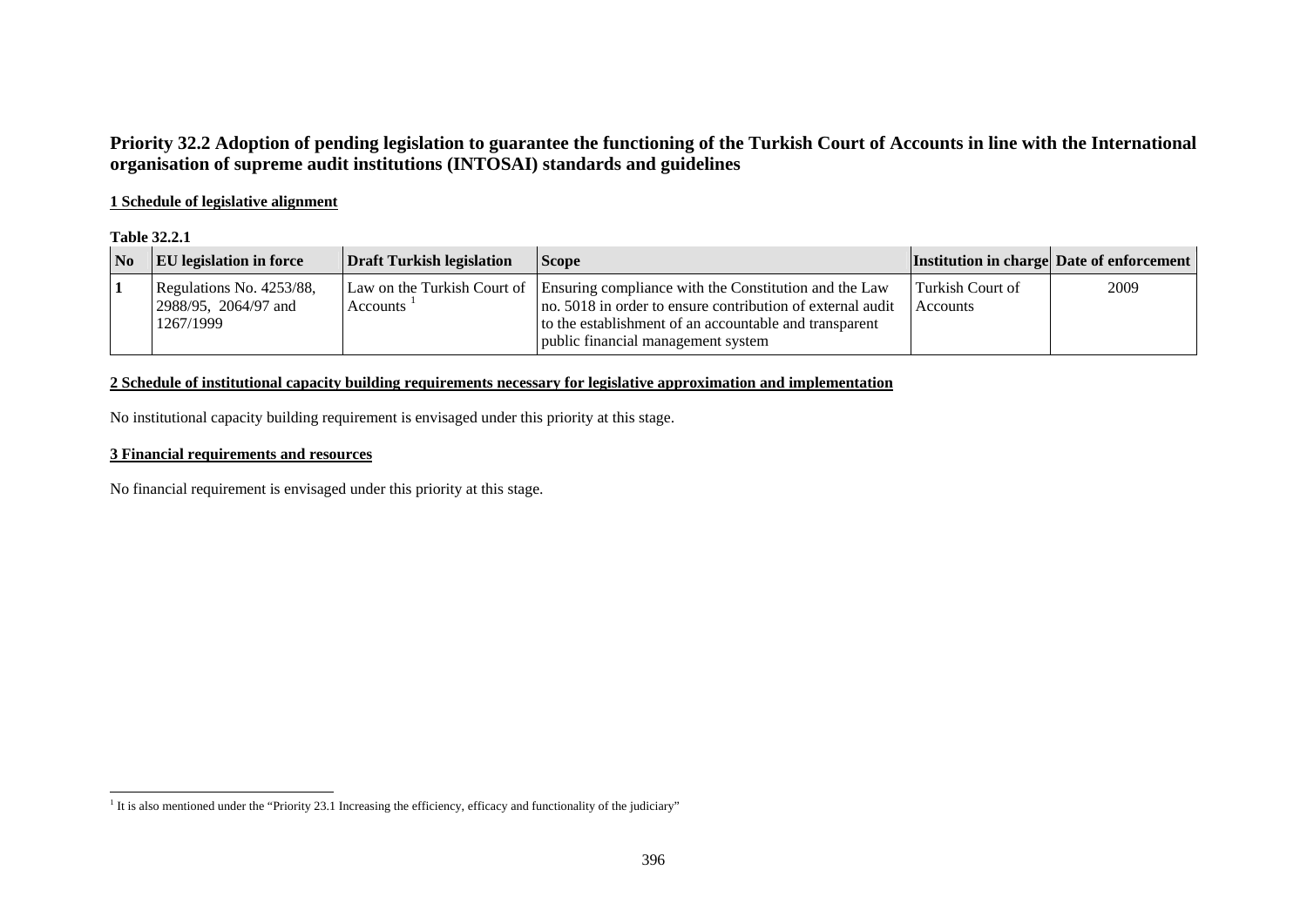# **Priority 32.2 Adoption of pending legislation to guarantee the functioning of the Turkish Court of Accounts in line with the International organisation of supreme audit institutions (INTOSAI) standards and guidelines**

### **1 Schedule of legislative alignment**

#### **Table 32.2.1**

| $\overline{\text{No}}$ | <b>EU</b> legislation in force                                | <b>Draft Turkish legislation</b> | <b>Scope</b>                                                                                                                                                                                                                                    |                                     | <b>Institution in charge Date of enforcement</b> |
|------------------------|---------------------------------------------------------------|----------------------------------|-------------------------------------------------------------------------------------------------------------------------------------------------------------------------------------------------------------------------------------------------|-------------------------------------|--------------------------------------------------|
|                        | Regulations No. 4253/88,<br>2988/95, 2064/97 and<br>1267/1999 | Accounts                         | Law on the Turkish Court of Ensuring compliance with the Constitution and the Law<br>no. 5018 in order to ensure contribution of external audit<br>to the establishment of an accountable and transparent<br>public financial management system | Turkish Court of<br><b>Accounts</b> | 2009                                             |

### **2 Schedule of institutional capacity building requirements necessary for legislative approximation and implementation**

No institutional capacity building requirement is envisaged under this priority at this stage.

#### **3 Financial requirements and resources**

No financial requirement is envisaged under this priority at this stage.

<span id="page-1-0"></span><sup>&</sup>lt;sup>1</sup> It is also mentioned under the "Priority 23.1 Increasing the efficiency, efficacy and functionality of the judiciary"